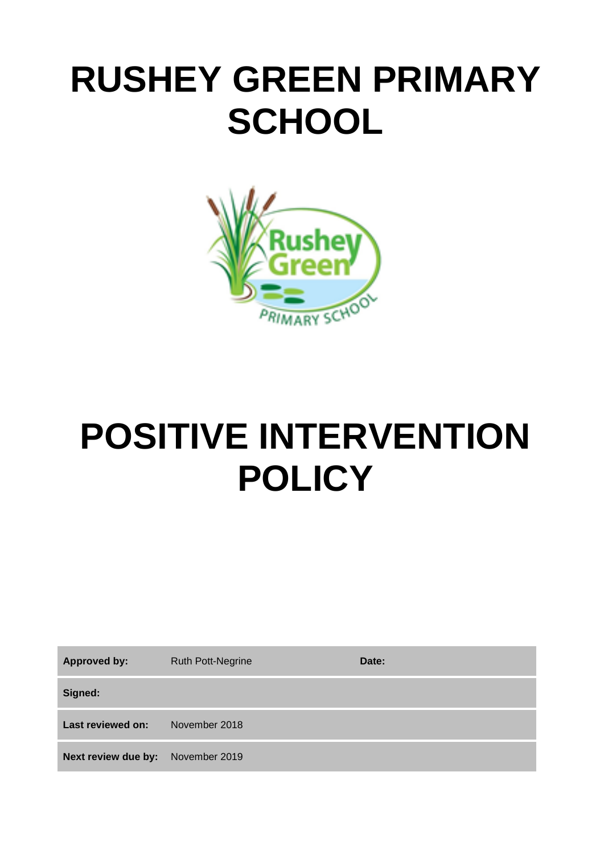# **RUSHEY GREEN PRIMARY SCHOOL**



# **POSITIVE INTERVENTION POLICY**

| <b>Approved by:</b>                      | <b>Ruth Pott-Negrine</b> | Date: |
|------------------------------------------|--------------------------|-------|
| Signed:                                  |                          |       |
| Last reviewed on:                        | November 2018            |       |
| <b>Next review due by:</b> November 2019 |                          |       |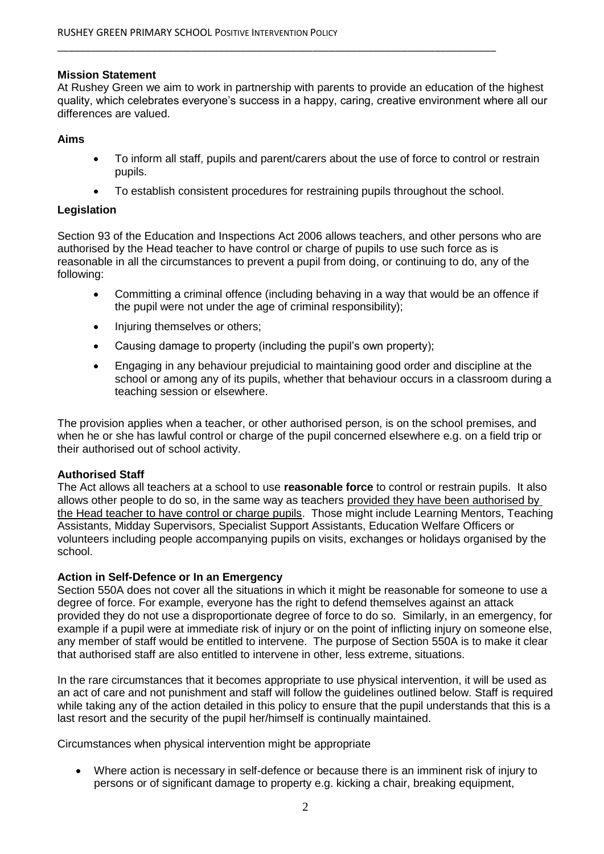#### **Mission Statement**

At Rushey Green we aim to work in partnership with parents to provide an education of the highest quality, which celebrates everyone's success in a happy, caring, creative environment where all our differences are valued.

\_\_\_\_\_\_\_\_\_\_\_\_\_\_\_\_\_\_\_\_\_\_\_\_\_\_\_\_\_\_\_\_\_\_\_\_\_\_\_\_\_\_\_\_\_\_\_\_\_\_\_\_\_\_\_\_\_\_\_\_\_\_\_\_\_\_\_\_\_\_\_\_\_\_\_\_\_\_\_

#### **Aims**

- To inform all staff, pupils and parent/carers about the use of force to control or restrain pupils.
- To establish consistent procedures for restraining pupils throughout the school.

#### **Legislation**

Section 93 of the Education and Inspections Act 2006 allows teachers, and other persons who are authorised by the Head teacher to have control or charge of pupils to use such force as is reasonable in all the circumstances to prevent a pupil from doing, or continuing to do, any of the following:

- Committing a criminal offence (including behaving in a way that would be an offence if the pupil were not under the age of criminal responsibility);
- Injuring themselves or others;
- Causing damage to property (including the pupil's own property);
- Engaging in any behaviour prejudicial to maintaining good order and discipline at the school or among any of its pupils, whether that behaviour occurs in a classroom during a teaching session or elsewhere.

The provision applies when a teacher, or other authorised person, is on the school premises, and when he or she has lawful control or charge of the pupil concerned elsewhere e.g. on a field trip or their authorised out of school activity.

#### **Authorised Staff**

The Act allows all teachers at a school to use **reasonable force** to control or restrain pupils. It also allows other people to do so, in the same way as teachers provided they have been authorised by the Head teacher to have control or charge pupils. Those might include Learning Mentors, Teaching Assistants, Midday Supervisors, Specialist Support Assistants, Education Welfare Officers or volunteers including people accompanying pupils on visits, exchanges or holidays organised by the school.

#### **Action in Self-Defence or In an Emergency**

Section 550A does not cover all the situations in which it might be reasonable for someone to use a degree of force. For example, everyone has the right to defend themselves against an attack provided they do not use a disproportionate degree of force to do so. Similarly, in an emergency, for example if a pupil were at immediate risk of injury or on the point of inflicting injury on someone else, any member of staff would be entitled to intervene. The purpose of Section 550A is to make it clear that authorised staff are also entitled to intervene in other, less extreme, situations.

In the rare circumstances that it becomes appropriate to use physical intervention, it will be used as an act of care and not punishment and staff will follow the guidelines outlined below. Staff is required while taking any of the action detailed in this policy to ensure that the pupil understands that this is a last resort and the security of the pupil her/himself is continually maintained.

Circumstances when physical intervention might be appropriate

 Where action is necessary in self-defence or because there is an imminent risk of injury to persons or of significant damage to property e.g. kicking a chair, breaking equipment,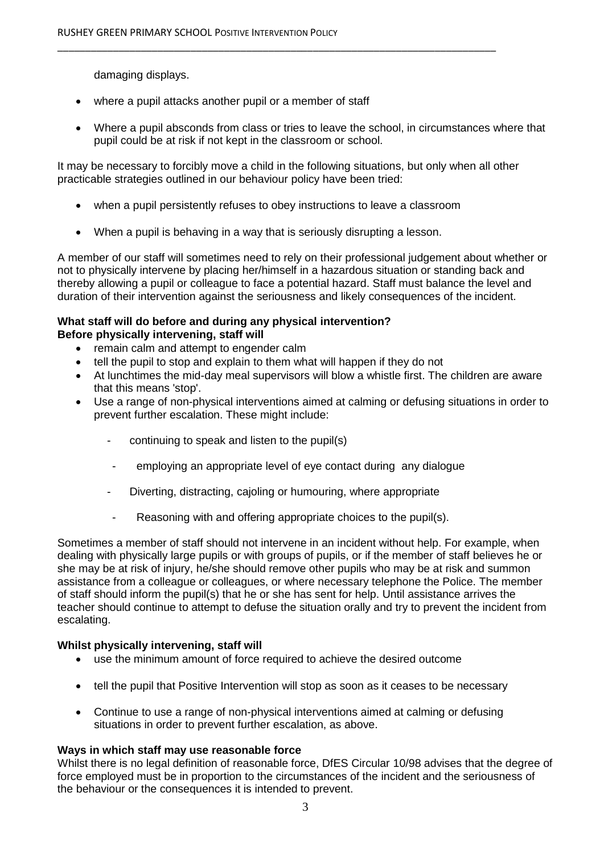damaging displays.

- where a pupil attacks another pupil or a member of staff
- Where a pupil absconds from class or tries to leave the school, in circumstances where that pupil could be at risk if not kept in the classroom or school.

It may be necessary to forcibly move a child in the following situations, but only when all other practicable strategies outlined in our behaviour policy have been tried:

\_\_\_\_\_\_\_\_\_\_\_\_\_\_\_\_\_\_\_\_\_\_\_\_\_\_\_\_\_\_\_\_\_\_\_\_\_\_\_\_\_\_\_\_\_\_\_\_\_\_\_\_\_\_\_\_\_\_\_\_\_\_\_\_\_\_\_\_\_\_\_\_\_\_\_\_\_\_\_

- when a pupil persistently refuses to obey instructions to leave a classroom
- When a pupil is behaving in a way that is seriously disrupting a lesson.

A member of our staff will sometimes need to rely on their professional judgement about whether or not to physically intervene by placing her/himself in a hazardous situation or standing back and thereby allowing a pupil or colleague to face a potential hazard. Staff must balance the level and duration of their intervention against the seriousness and likely consequences of the incident.

#### **What staff will do before and during any physical intervention? Before physically intervening, staff will**

- remain calm and attempt to engender calm
- tell the pupil to stop and explain to them what will happen if they do not
- At lunchtimes the mid-day meal supervisors will blow a whistle first. The children are aware that this means 'stop'.
- Use a range of non-physical interventions aimed at calming or defusing situations in order to prevent further escalation. These might include:
	- continuing to speak and listen to the pupil(s)
	- employing an appropriate level of eye contact during any dialogue
	- Diverting, distracting, cajoling or humouring, where appropriate
	- Reasoning with and offering appropriate choices to the pupil(s).

Sometimes a member of staff should not intervene in an incident without help. For example, when dealing with physically large pupils or with groups of pupils, or if the member of staff believes he or she may be at risk of injury, he/she should remove other pupils who may be at risk and summon assistance from a colleague or colleagues, or where necessary telephone the Police. The member of staff should inform the pupil(s) that he or she has sent for help. Until assistance arrives the teacher should continue to attempt to defuse the situation orally and try to prevent the incident from escalating.

#### **Whilst physically intervening, staff will**

- use the minimum amount of force required to achieve the desired outcome
- tell the pupil that Positive Intervention will stop as soon as it ceases to be necessary
- Continue to use a range of non-physical interventions aimed at calming or defusing situations in order to prevent further escalation, as above.

#### **Ways in which staff may use reasonable force**

Whilst there is no legal definition of reasonable force, DfES Circular 10/98 advises that the degree of force employed must be in proportion to the circumstances of the incident and the seriousness of the behaviour or the consequences it is intended to prevent.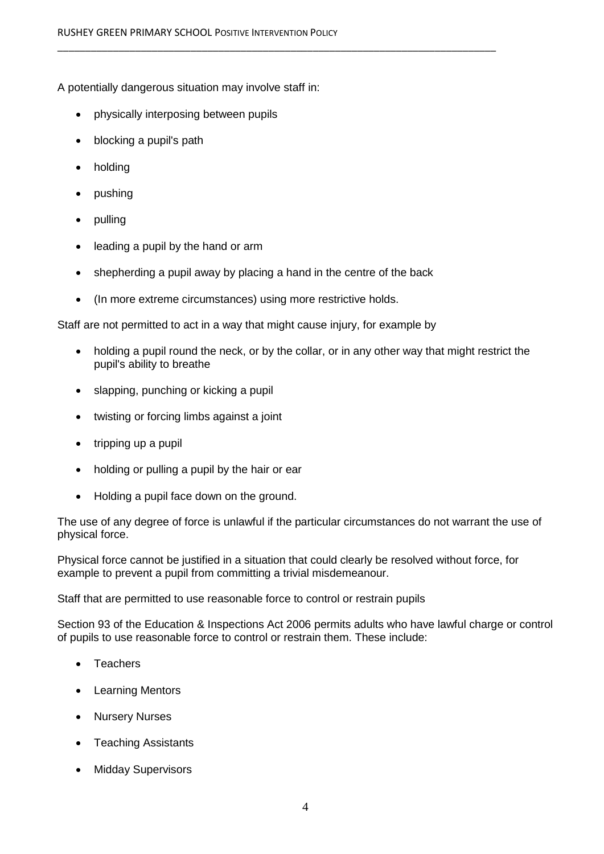A potentially dangerous situation may involve staff in:

- physically interposing between pupils
- blocking a pupil's path
- holding
- pushing
- pulling
- leading a pupil by the hand or arm
- shepherding a pupil away by placing a hand in the centre of the back

\_\_\_\_\_\_\_\_\_\_\_\_\_\_\_\_\_\_\_\_\_\_\_\_\_\_\_\_\_\_\_\_\_\_\_\_\_\_\_\_\_\_\_\_\_\_\_\_\_\_\_\_\_\_\_\_\_\_\_\_\_\_\_\_\_\_\_\_\_\_\_\_\_\_\_\_\_\_\_

(In more extreme circumstances) using more restrictive holds.

Staff are not permitted to act in a way that might cause injury, for example by

- holding a pupil round the neck, or by the collar, or in any other way that might restrict the pupil's ability to breathe
- slapping, punching or kicking a pupil
- twisting or forcing limbs against a joint
- $\bullet$  tripping up a pupil
- holding or pulling a pupil by the hair or ear
- Holding a pupil face down on the ground.

The use of any degree of force is unlawful if the particular circumstances do not warrant the use of physical force.

Physical force cannot be justified in a situation that could clearly be resolved without force, for example to prevent a pupil from committing a trivial misdemeanour.

Staff that are permitted to use reasonable force to control or restrain pupils

Section 93 of the Education & Inspections Act 2006 permits adults who have lawful charge or control of pupils to use reasonable force to control or restrain them. These include:

- **Teachers**
- Learning Mentors
- Nursery Nurses
- Teaching Assistants
- Midday Supervisors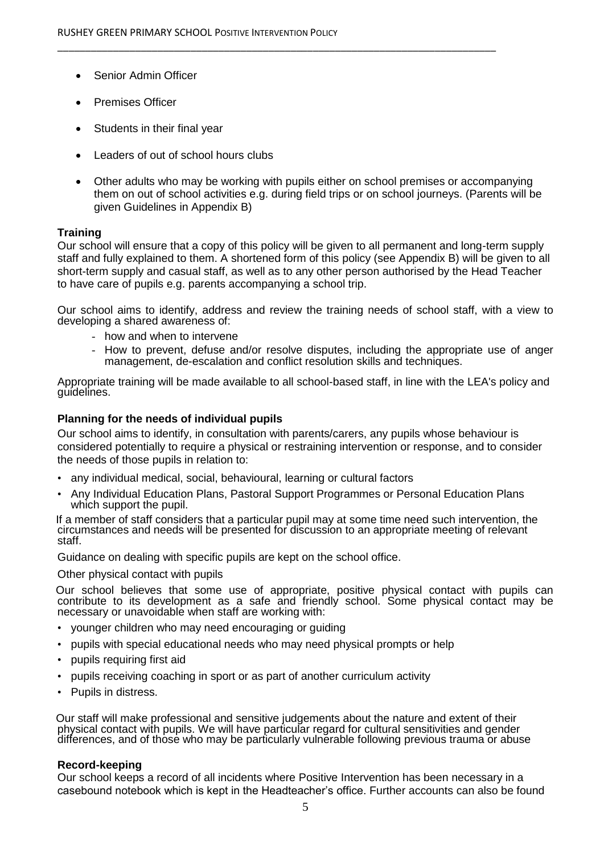- Senior Admin Officer
- Premises Officer
- Students in their final year
- Leaders of out of school hours clubs
- Other adults who may be working with pupils either on school premises or accompanying them on out of school activities e.g. during field trips or on school journeys. (Parents will be given Guidelines in Appendix B)

\_\_\_\_\_\_\_\_\_\_\_\_\_\_\_\_\_\_\_\_\_\_\_\_\_\_\_\_\_\_\_\_\_\_\_\_\_\_\_\_\_\_\_\_\_\_\_\_\_\_\_\_\_\_\_\_\_\_\_\_\_\_\_\_\_\_\_\_\_\_\_\_\_\_\_\_\_\_\_

# **Training**

Our school will ensure that a copy of this policy will be given to all permanent and long-term supply staff and fully explained to them. A shortened form of this policy (see Appendix B) will be given to all short-term supply and casual staff, as well as to any other person authorised by the Head Teacher to have care of pupils e.g. parents accompanying a school trip.

Our school aims to identify, address and review the training needs of school staff, with a view to developing a shared awareness of:

- how and when to intervene
- How to prevent, defuse and/or resolve disputes, including the appropriate use of anger management, de-escalation and conflict resolution skills and techniques.

Appropriate training will be made available to all school-based staff, in line with the LEA's policy and guidelines.

#### **Planning for the needs of individual pupils**

Our school aims to identify, in consultation with parents/carers, any pupils whose behaviour is considered potentially to require a physical or restraining intervention or response, and to consider the needs of those pupils in relation to:

- any individual medical, social, behavioural, learning or cultural factors
- Any Individual Education Plans, Pastoral Support Programmes or Personal Education Plans which support the pupil.

 If a member of staff considers that a particular pupil may at some time need such intervention, the circumstances and needs will be presented for discussion to an appropriate meeting of relevant staff.

Guidance on dealing with specific pupils are kept on the school office.

Other physical contact with pupils

 Our school believes that some use of appropriate, positive physical contact with pupils can contribute to its development as a safe and friendly school. Some physical contact may be necessary or unavoidable when staff are working with:

- younger children who may need encouraging or guiding
- pupils with special educational needs who may need physical prompts or help
- pupils requiring first aid
- pupils receiving coaching in sport or as part of another curriculum activity
- Pupils in distress.

 Our staff will make professional and sensitive judgements about the nature and extent of their physical contact with pupils. We will have particular regard for cultural sensitivities and gender differences, and of those who may be particularly vulnerable following previous trauma or abuse

#### **Record-keeping**

Our school keeps a record of all incidents where Positive Intervention has been necessary in a casebound notebook which is kept in the Headteacher's office. Further accounts can also be found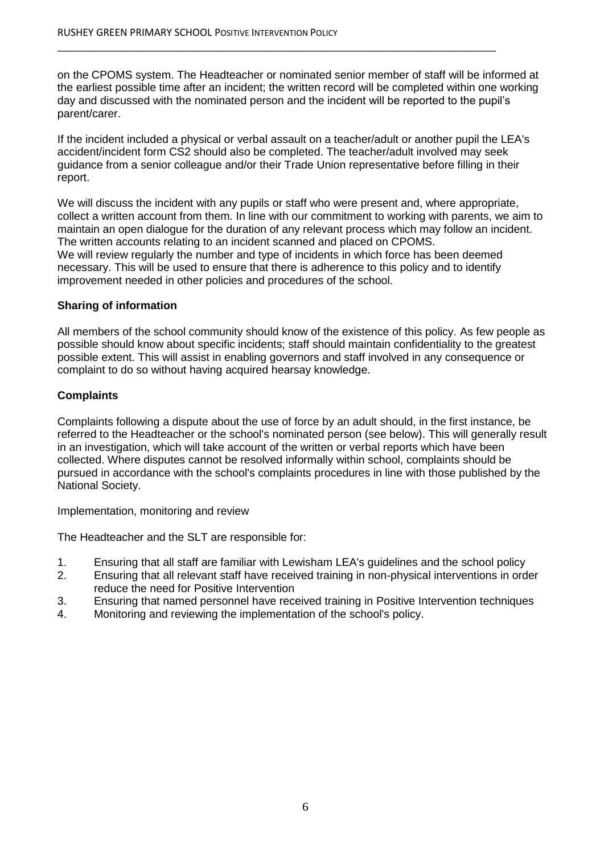on the CPOMS system. The Headteacher or nominated senior member of staff will be informed at the earliest possible time after an incident; the written record will be completed within one working day and discussed with the nominated person and the incident will be reported to the pupil's parent/carer.

\_\_\_\_\_\_\_\_\_\_\_\_\_\_\_\_\_\_\_\_\_\_\_\_\_\_\_\_\_\_\_\_\_\_\_\_\_\_\_\_\_\_\_\_\_\_\_\_\_\_\_\_\_\_\_\_\_\_\_\_\_\_\_\_\_\_\_\_\_\_\_\_\_\_\_\_\_\_\_

If the incident included a physical or verbal assault on a teacher/adult or another pupil the LEA's accident/incident form CS2 should also be completed. The teacher/adult involved may seek guidance from a senior colleague and/or their Trade Union representative before filling in their report.

We will discuss the incident with any pupils or staff who were present and, where appropriate, collect a written account from them. In line with our commitment to working with parents, we aim to maintain an open dialogue for the duration of any relevant process which may follow an incident. The written accounts relating to an incident scanned and placed on CPOMS. We will review regularly the number and type of incidents in which force has been deemed necessary. This will be used to ensure that there is adherence to this policy and to identify improvement needed in other policies and procedures of the school.

# **Sharing of information**

All members of the school community should know of the existence of this policy. As few people as possible should know about specific incidents; staff should maintain confidentiality to the greatest possible extent. This will assist in enabling governors and staff involved in any consequence or complaint to do so without having acquired hearsay knowledge.

# **Complaints**

Complaints following a dispute about the use of force by an adult should, in the first instance, be referred to the Headteacher or the school's nominated person (see below). This will generally result in an investigation, which will take account of the written or verbal reports which have been collected. Where disputes cannot be resolved informally within school, complaints should be pursued in accordance with the school's complaints procedures in line with those published by the National Society.

Implementation, monitoring and review

The Headteacher and the SLT are responsible for:

- 1. Ensuring that all staff are familiar with Lewisham LEA's guidelines and the school policy
- 2. Ensuring that all relevant staff have received training in non-physical interventions in order reduce the need for Positive Intervention
- 3. Ensuring that named personnel have received training in Positive Intervention techniques
- 4. Monitoring and reviewing the implementation of the school's policy.